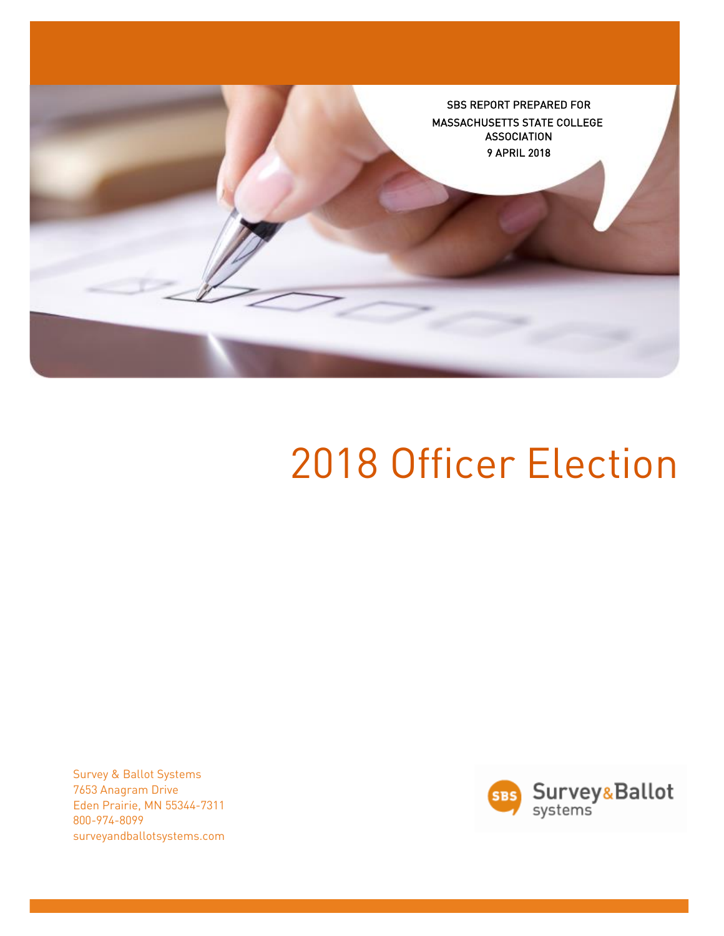

# 2018 Officer Election

Survey & Ballot Systems 7653 Anagram Drive Eden Prairie, MN 55344-7311 800-974-8099 surveyandballotsystems.com

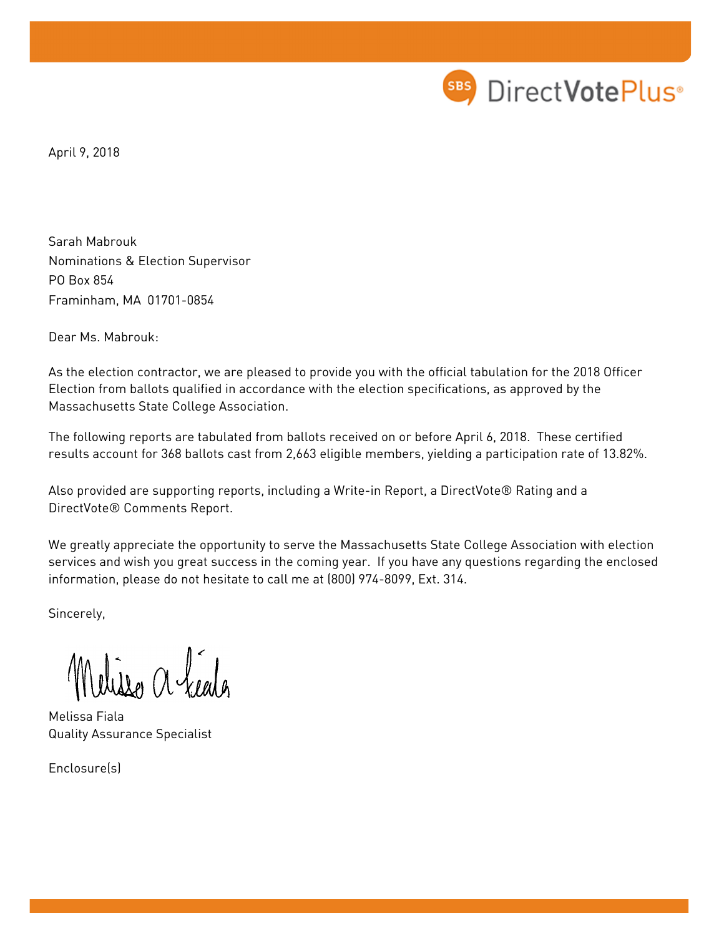

April 9, 2018

Sarah Mabrouk Nominations & Election Supervisor PO Box 854 Framinham, MA 01701-0854

Dear Ms. Mabrouk:

As the election contractor, we are pleased to provide you with the official tabulation for the 2018 Officer Election from ballots qualified in accordance with the election specifications, as approved by the Massachusetts State College Association.

The following reports are tabulated from ballots received on or before April 6, 2018. These certified results account for 368 ballots cast from 2,663 eligible members, yielding a participation rate of 13.82%.

Also provided are supporting reports, including a Write-in Report, a DirectVote® Rating and a DirectVote® Comments Report.

We greatly appreciate the opportunity to serve the Massachusetts State College Association with election services and wish you great success in the coming year. If you have any questions regarding the enclosed information, please do not hesitate to call me at (800) 974-8099, Ext. 314.

Sincerely,

Wisse a feels

Melissa Fiala Quality Assurance Specialist

Enclosure(s)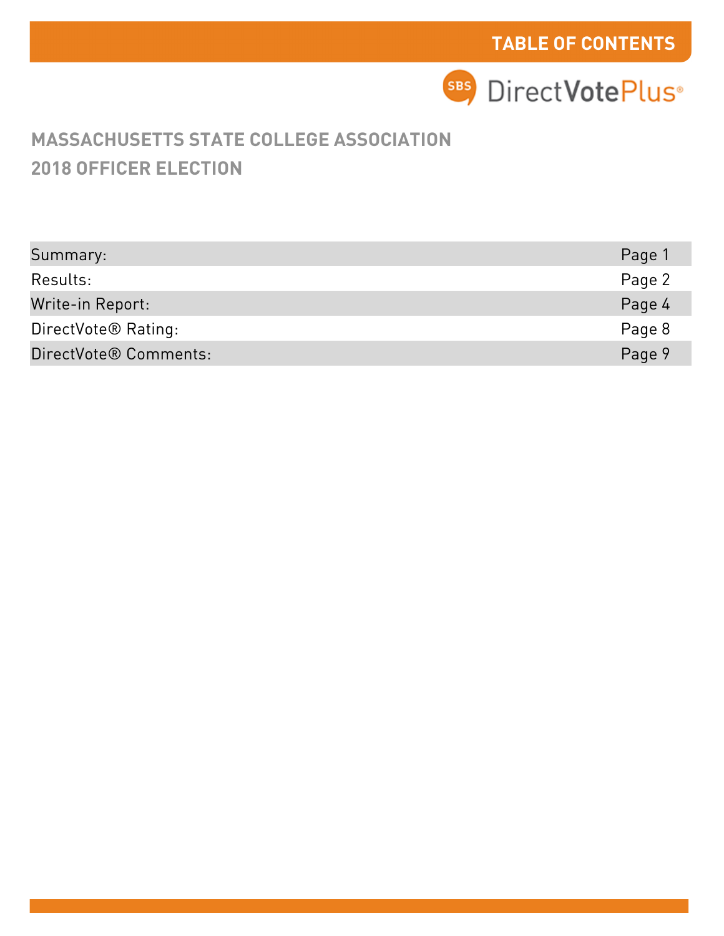## **2018 OFFICER ELECTION MASSACHUSETTS STATE COLLEGE ASSOCIATION**

| Summary:                        | Page 1 |
|---------------------------------|--------|
| Results:                        | Page 2 |
| Write-in Report:                | Page 4 |
| DirectVote <sup>®</sup> Rating: | Page 8 |
| DirectVote® Comments:           | Page 9 |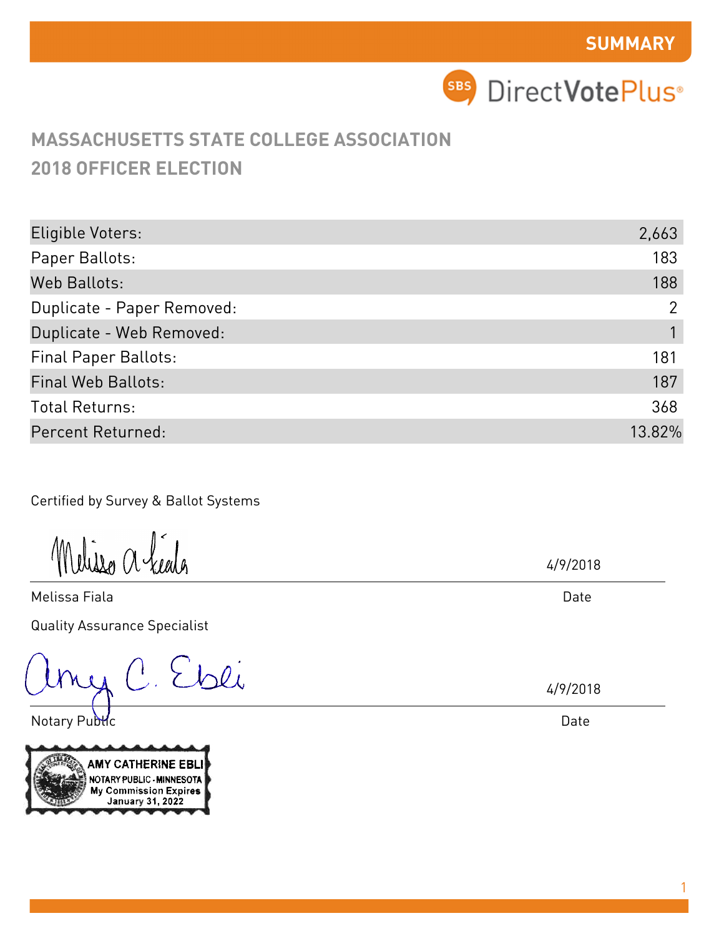**SBS** DirectVotePlus<sup>®</sup>

# **MASSACHUSETTS STATE COLLEGE ASSOCIATION 2018 OFFICER ELECTION**

| Eligible Voters:            | 2,663          |
|-----------------------------|----------------|
| Paper Ballots:              | 183            |
| Web Ballots:                | 188            |
| Duplicate - Paper Removed:  | $\overline{2}$ |
| Duplicate - Web Removed:    |                |
| <b>Final Paper Ballots:</b> | 181            |
| <b>Final Web Ballots:</b>   | 187            |
| <b>Total Returns:</b>       | 368            |
| Percent Returned:           | 13.82%         |

Certified by Survey & Ballot Systems

Melisso a héala

Melissa Fiala Quality Assurance Specialist

C. Ebli

Notary Public



4/9/2018

Date

4/9/2018

Date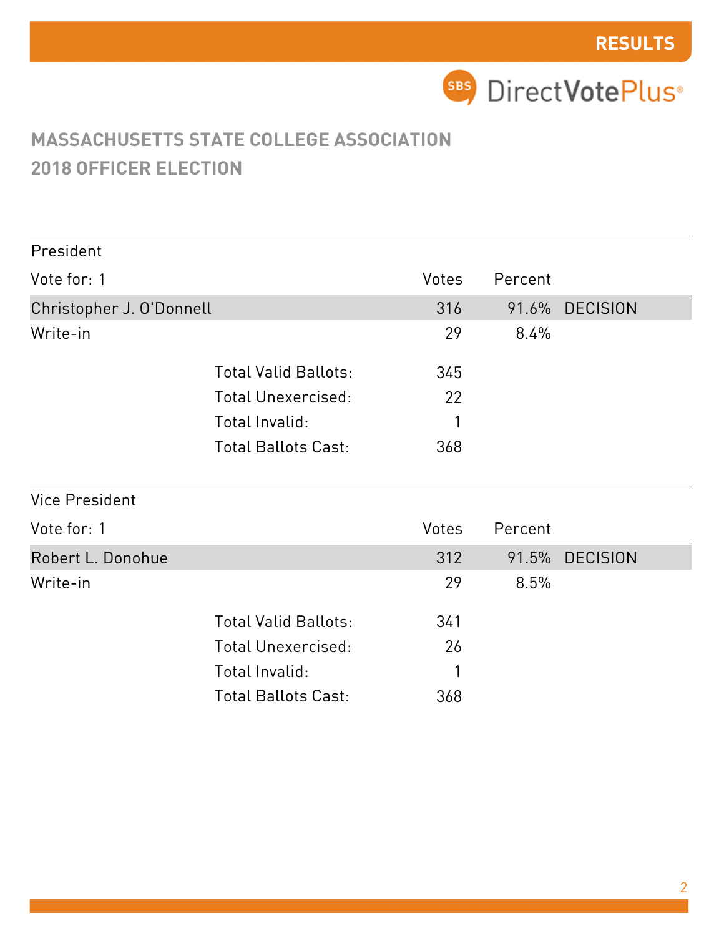| President                |                             |       |         |                 |
|--------------------------|-----------------------------|-------|---------|-----------------|
| Vote for: 1              |                             | Votes | Percent |                 |
| Christopher J. O'Donnell |                             | 316   |         | 91.6% DECISION  |
| Write-in                 |                             | 29    | 8.4%    |                 |
|                          | <b>Total Valid Ballots:</b> | 345   |         |                 |
|                          | <b>Total Unexercised:</b>   | 22    |         |                 |
|                          | Total Invalid:              |       |         |                 |
|                          | <b>Total Ballots Cast:</b>  | 368   |         |                 |
| <b>Vice President</b>    |                             |       |         |                 |
| Vote for: 1              |                             | Votes | Percent |                 |
| Robert L. Donohue        |                             | 312   | 91.5%   | <b>DECISION</b> |
| Write-in                 |                             | 29    | 8.5%    |                 |
|                          | <b>Total Valid Ballots:</b> | 341   |         |                 |
|                          | <b>Total Unexercised:</b>   | 26    |         |                 |
|                          | Total Invalid:              | 1     |         |                 |
|                          | <b>Total Ballots Cast:</b>  | 368   |         |                 |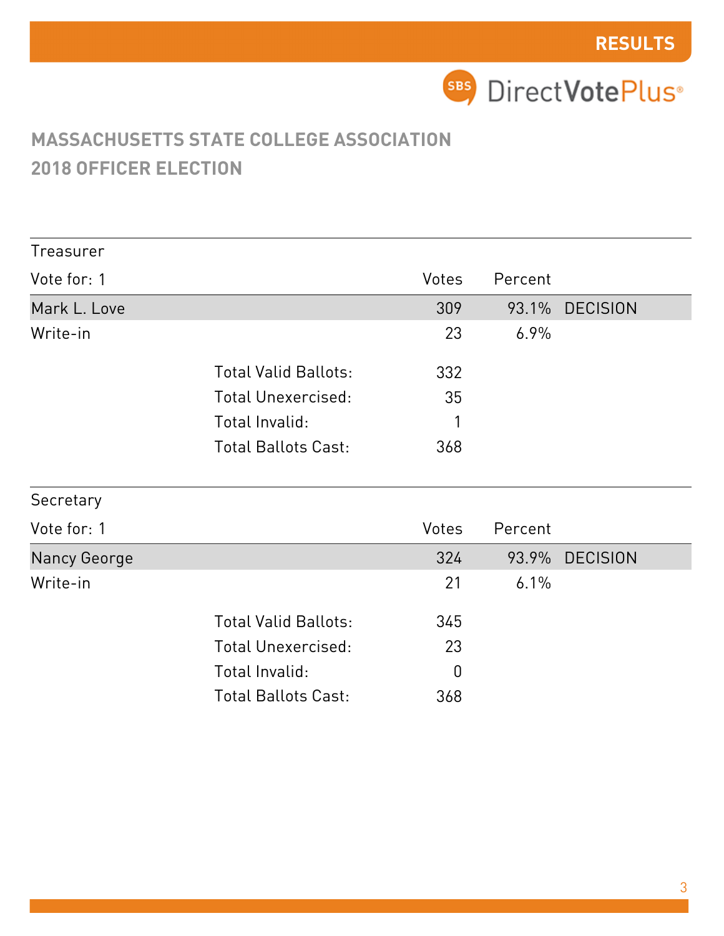| Treasurer    |                             |              |         |                |  |
|--------------|-----------------------------|--------------|---------|----------------|--|
| Vote for: 1  |                             | <b>Votes</b> | Percent |                |  |
| Mark L. Love |                             | 309          |         | 93.1% DECISION |  |
| Write-in     |                             | 23           | 6.9%    |                |  |
|              | <b>Total Valid Ballots:</b> | 332          |         |                |  |
|              | <b>Total Unexercised:</b>   | 35           |         |                |  |
|              | Total Invalid:              |              |         |                |  |
|              | <b>Total Ballots Cast:</b>  | 368          |         |                |  |
| Secretary    |                             |              |         |                |  |

| Vote for: 1  |                             | <b>Votes</b> | Percent |                |
|--------------|-----------------------------|--------------|---------|----------------|
| Nancy George |                             | 324          |         | 93.9% DECISION |
| Write-in     |                             | 21           | $6.1\%$ |                |
|              | <b>Total Valid Ballots:</b> | 345          |         |                |
|              | Total Unexercised:          | 23           |         |                |
|              | Total Invalid:              | 0            |         |                |
|              | <b>Total Ballots Cast:</b>  | 368          |         |                |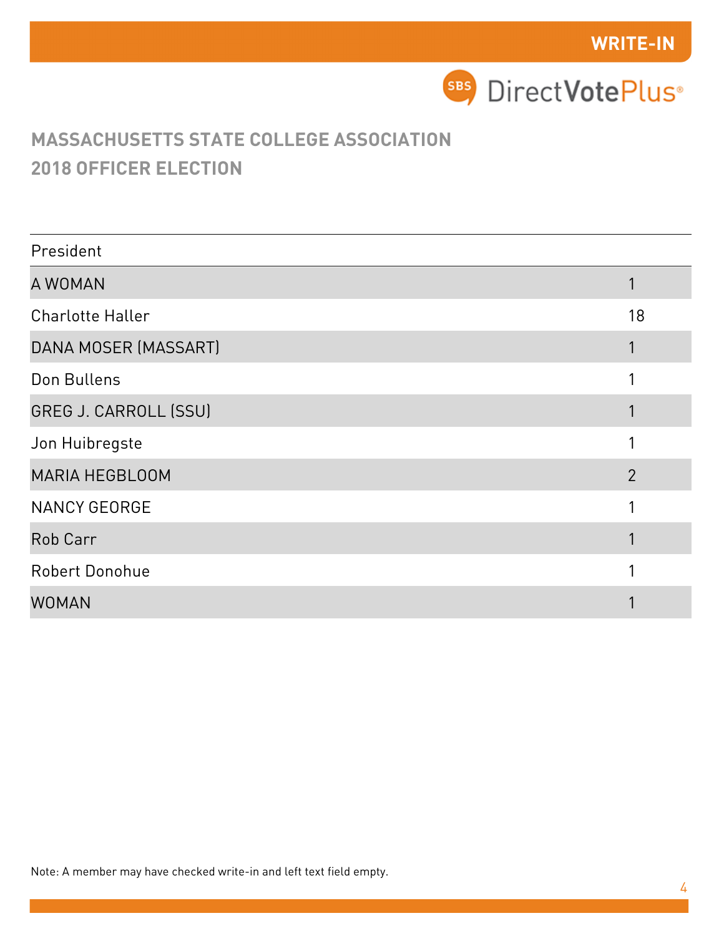

| President                    |                |
|------------------------------|----------------|
| A WOMAN                      |                |
| <b>Charlotte Haller</b>      | 18             |
| DANA MOSER (MASSART)         |                |
| Don Bullens                  |                |
| <b>GREG J. CARROLL (SSU)</b> |                |
| Jon Huibregste               |                |
| <b>MARIA HEGBLOOM</b>        | $\overline{2}$ |
| <b>NANCY GEORGE</b>          |                |
| Rob Carr                     |                |
| Robert Donohue               |                |
| <b>WOMAN</b>                 |                |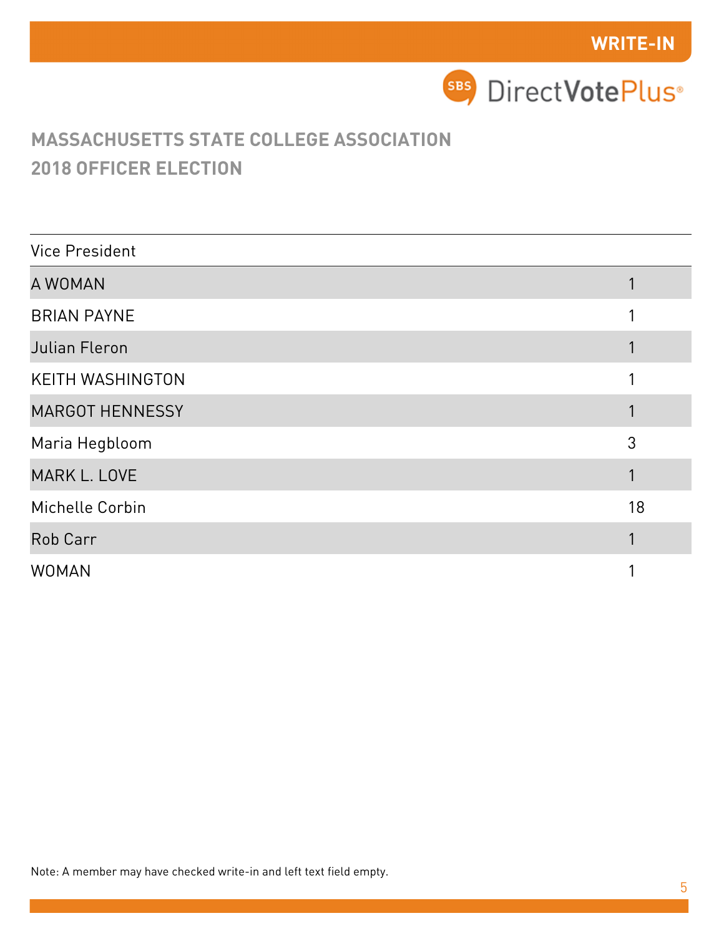

| <b>Vice President</b>   |    |
|-------------------------|----|
| A WOMAN                 |    |
| <b>BRIAN PAYNE</b>      |    |
| Julian Fleron           |    |
| <b>KEITH WASHINGTON</b> |    |
| <b>MARGOT HENNESSY</b>  |    |
| Maria Hegbloom          | 3  |
| <b>MARK L. LOVE</b>     |    |
| Michelle Corbin         | 18 |
| Rob Carr                |    |
| <b>WOMAN</b>            |    |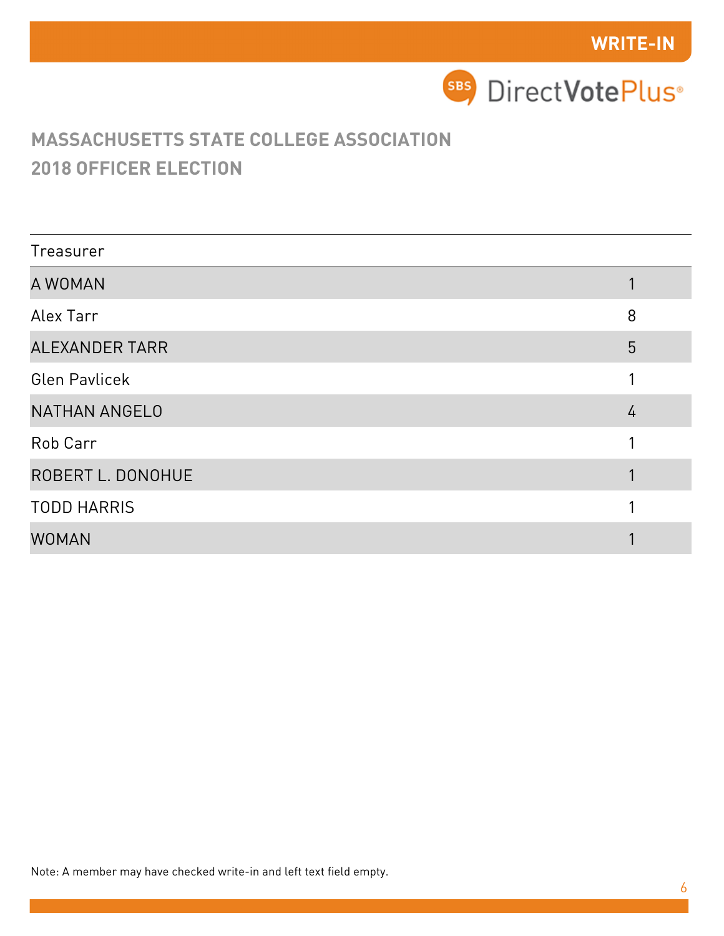

| Treasurer             |   |
|-----------------------|---|
| A WOMAN               |   |
| Alex Tarr             | 8 |
| <b>ALEXANDER TARR</b> | 5 |
| <b>Glen Pavlicek</b>  |   |
| <b>NATHAN ANGELO</b>  | 4 |
| Rob Carr              |   |
| ROBERT L. DONOHUE     |   |
| <b>TODD HARRIS</b>    |   |
| <b>WOMAN</b>          |   |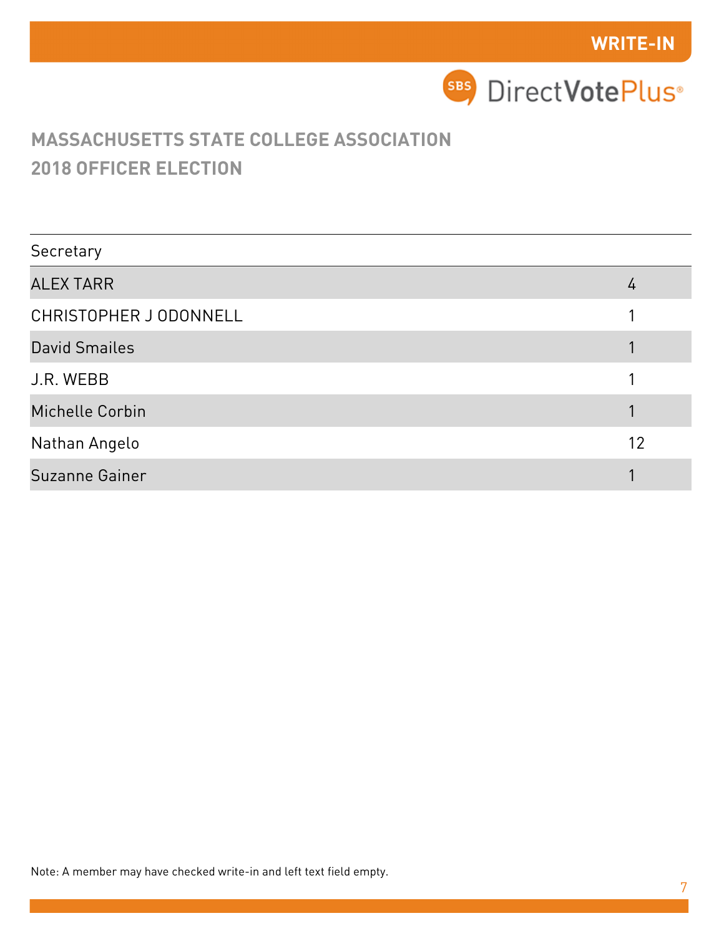

| Secretary              |    |
|------------------------|----|
| <b>ALEX TARR</b>       | 4  |
| CHRISTOPHER J ODONNELL |    |
| <b>David Smailes</b>   |    |
| J.R. WEBB              |    |
| Michelle Corbin        |    |
| Nathan Angelo          | 12 |
| Suzanne Gainer         |    |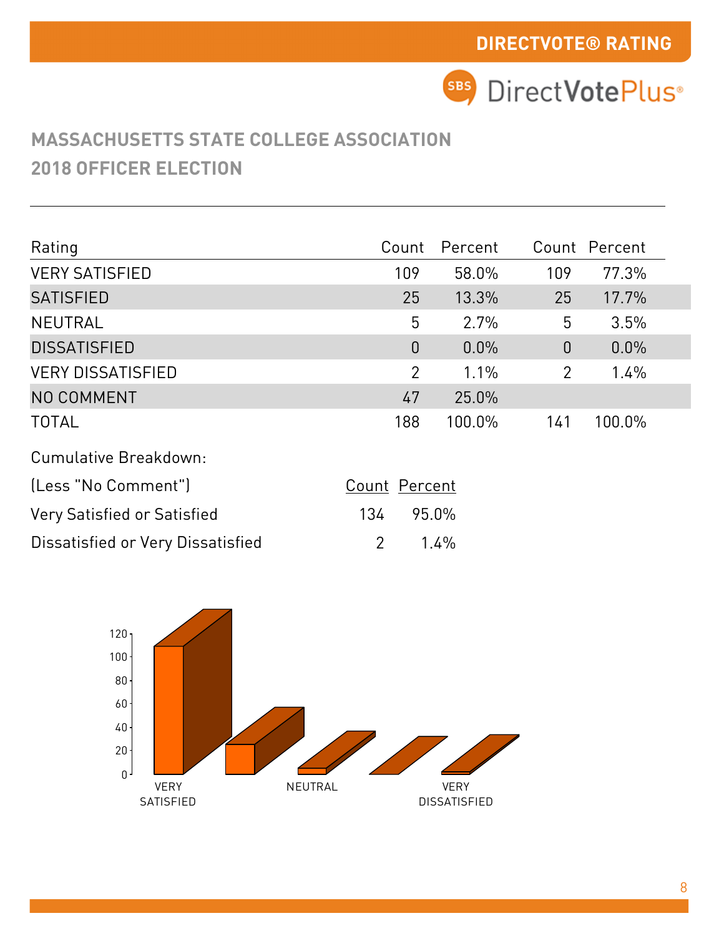| Rating                             | Count          | Percent |                | Count Percent |  |
|------------------------------------|----------------|---------|----------------|---------------|--|
| <b>VERY SATISFIED</b>              | 109            | 58.0%   | 109            | 77.3%         |  |
| <b>SATISFIED</b>                   | 25             | 13.3%   | 25             | 17.7%         |  |
| <b>NEUTRAL</b>                     | 5              | 2.7%    | 5              | 3.5%          |  |
| <b>DISSATISFIED</b>                | $\theta$       | 0.0%    | $\theta$       | 0.0%          |  |
| <b>VERY DISSATISFIED</b>           | $\overline{2}$ | 1.1%    | $\overline{2}$ | 1.4%          |  |
| NO COMMENT                         | 47             | 25.0%   |                |               |  |
| <b>TOTAL</b>                       | 188            | 100.0%  | 141            | 100.0%        |  |
| Cumulative Breakdown:              |                |         |                |               |  |
| (Less "No Comment")                | Count Percent  |         |                |               |  |
| <b>Very Satisfied or Satisfied</b> | 134            | 95.0%   |                |               |  |
| Dissatisfied or Very Dissatisfied  | $\overline{2}$ | 1.4%    |                |               |  |

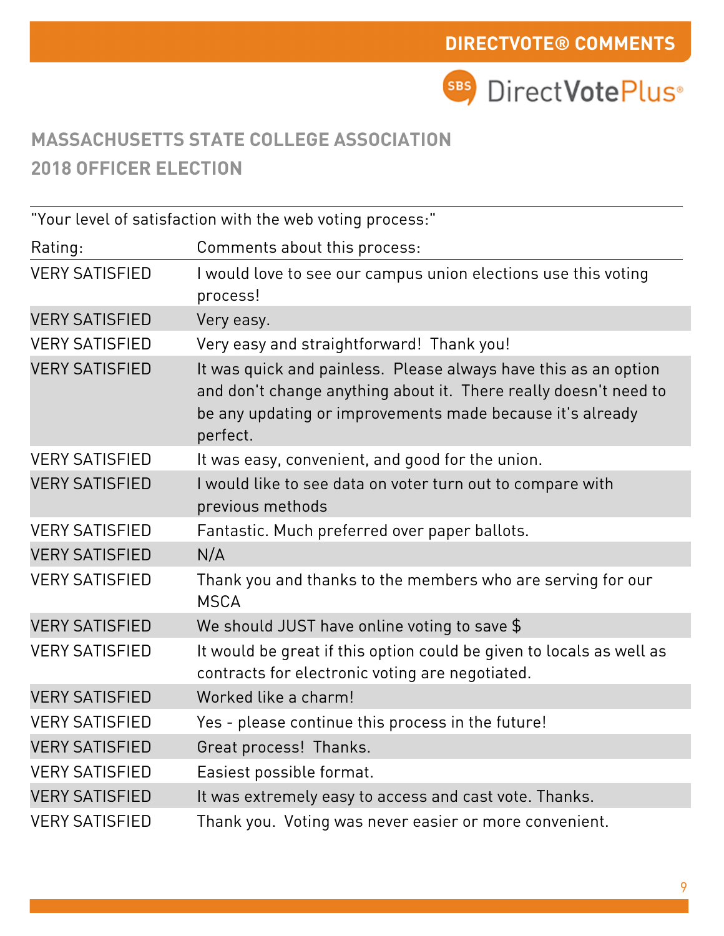|                       | "Your level of satisfaction with the web voting process:"                                                                                                                                                    |
|-----------------------|--------------------------------------------------------------------------------------------------------------------------------------------------------------------------------------------------------------|
| Rating:               | Comments about this process:                                                                                                                                                                                 |
| <b>VERY SATISFIED</b> | I would love to see our campus union elections use this voting<br>process!                                                                                                                                   |
| <b>VERY SATISFIED</b> | Very easy.                                                                                                                                                                                                   |
| <b>VERY SATISFIED</b> | Very easy and straightforward! Thank you!                                                                                                                                                                    |
| <b>VERY SATISFIED</b> | It was quick and painless. Please always have this as an option<br>and don't change anything about it. There really doesn't need to<br>be any updating or improvements made because it's already<br>perfect. |
| <b>VERY SATISFIED</b> | It was easy, convenient, and good for the union.                                                                                                                                                             |
| <b>VERY SATISFIED</b> | I would like to see data on voter turn out to compare with<br>previous methods                                                                                                                               |
| <b>VERY SATISFIED</b> | Fantastic. Much preferred over paper ballots.                                                                                                                                                                |
| <b>VERY SATISFIED</b> | N/A                                                                                                                                                                                                          |
| <b>VERY SATISFIED</b> | Thank you and thanks to the members who are serving for our<br><b>MSCA</b>                                                                                                                                   |
| <b>VERY SATISFIED</b> | We should JUST have online voting to save $$$                                                                                                                                                                |
| <b>VERY SATISFIED</b> | It would be great if this option could be given to locals as well as<br>contracts for electronic voting are negotiated.                                                                                      |
| <b>VERY SATISFIED</b> | Worked like a charm!                                                                                                                                                                                         |
| <b>VERY SATISFIED</b> | Yes - please continue this process in the future!                                                                                                                                                            |
| <b>VERY SATISFIED</b> | Great process! Thanks.                                                                                                                                                                                       |
| <b>VERY SATISFIED</b> | Easiest possible format.                                                                                                                                                                                     |
| <b>VERY SATISFIED</b> | It was extremely easy to access and cast vote. Thanks.                                                                                                                                                       |
| <b>VERY SATISFIED</b> | Thank you. Voting was never easier or more convenient.                                                                                                                                                       |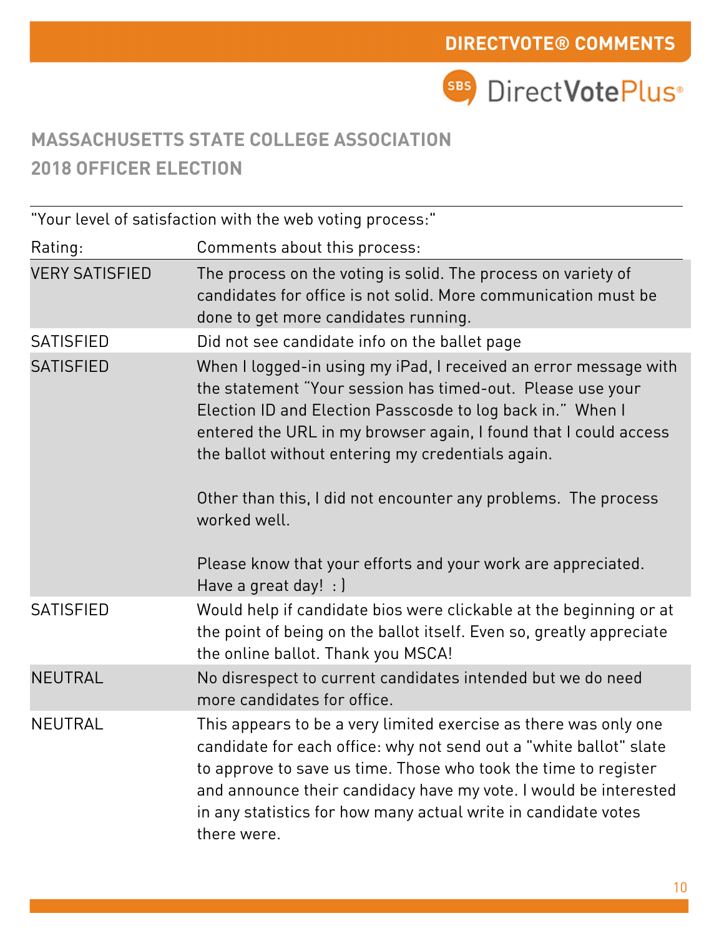**SBS** DirectVotePlus<sup>®</sup>

# **MASSACHUSETTS STATE COLLEGE ASSOCIATION 2018 OFFICER ELECTION**

"Your level of satisfaction with the web voting process:"

| Rating:               | Comments about this process:                                                                                                                                                                                                                                                                                                                                                                            |
|-----------------------|---------------------------------------------------------------------------------------------------------------------------------------------------------------------------------------------------------------------------------------------------------------------------------------------------------------------------------------------------------------------------------------------------------|
| <b>VERY SATISFIED</b> | The process on the voting is solid. The process on variety of<br>candidates for office is not solid. More communication must be<br>done to get more candidates running.                                                                                                                                                                                                                                 |
| <b>SATISFIED</b>      | Did not see candidate info on the ballet page                                                                                                                                                                                                                                                                                                                                                           |
| <b>SATISFIED</b>      | When I logged-in using my iPad, I received an error message with<br>the statement "Your session has timed-out. Please use your<br>Election ID and Election Passcosde to log back in." When I<br>entered the URL in my browser again, I found that I could access<br>the ballot without entering my credentials again.<br>Other than this, I did not encounter any problems. The process<br>worked well. |
|                       | Please know that your efforts and your work are appreciated.<br>Have a great day! $:$ )                                                                                                                                                                                                                                                                                                                 |
| <b>SATISFIED</b>      | Would help if candidate bios were clickable at the beginning or at<br>the point of being on the ballot itself. Even so, greatly appreciate<br>the online ballot. Thank you MSCA!                                                                                                                                                                                                                        |
| <b>NEUTRAL</b>        | No disrespect to current candidates intended but we do need<br>more candidates for office.                                                                                                                                                                                                                                                                                                              |
| <b>NEUTRAL</b>        | This appears to be a very limited exercise as there was only one<br>candidate for each office: why not send out a "white ballot" slate<br>to approve to save us time. Those who took the time to register<br>and announce their candidacy have my vote. I would be interested<br>in any statistics for how many actual write in candidate votes<br>there were.                                          |